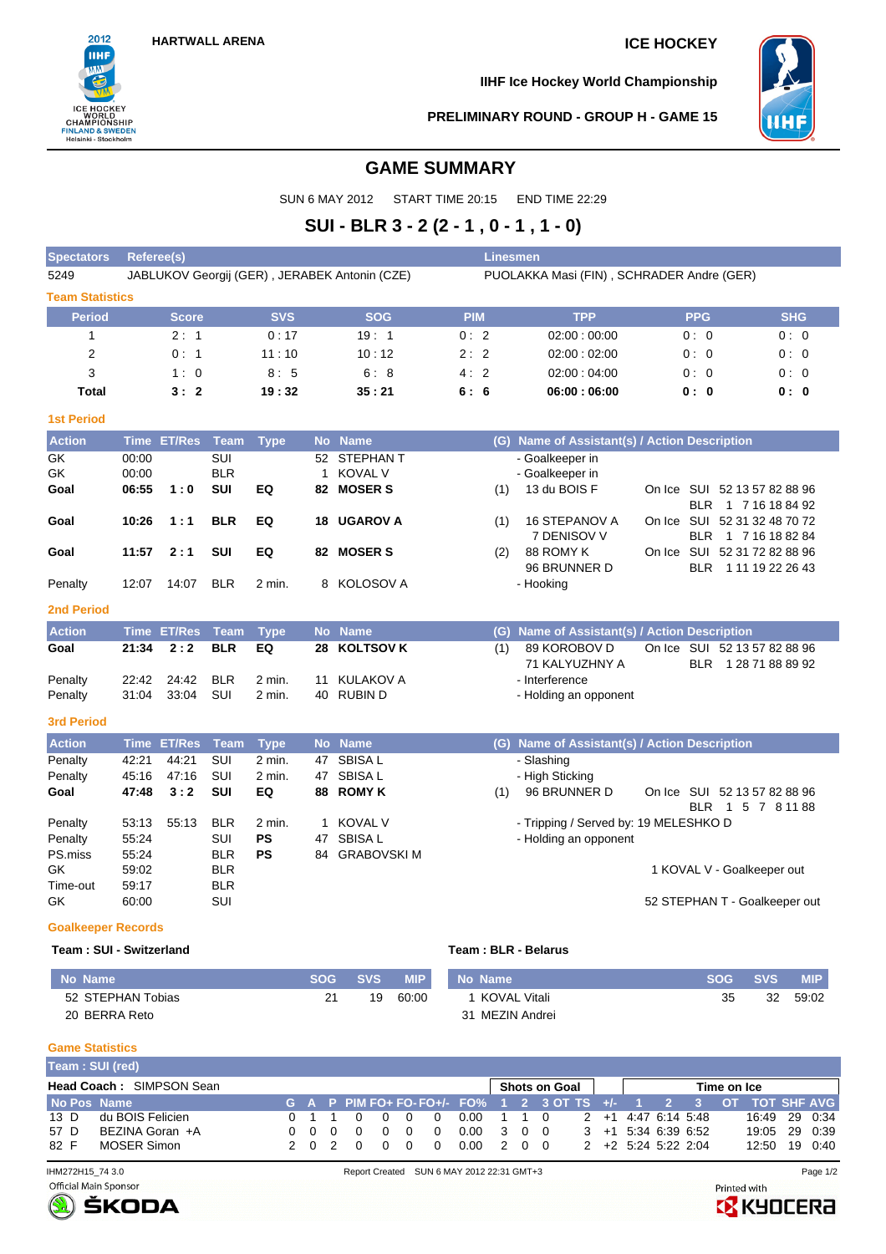

**IIHF Ice Hockey World Championship**



### **PRELIMINARY ROUND - GROUP H - GAME 15**

## **GAME SUMMARY**

SUN 6 MAY 2012 START TIME 20:15 END TIME 22:29

# **SUI - BLR 3 - 2 (2 - 1 , 0 - 1 , 1 - 0)**

| <b>Spectators</b>      | <b>Referee(s)</b>                                                                          |                    |             |             |    |                    |            | <b>Linesmen</b> |                                               |        |            |                                                     |            |
|------------------------|--------------------------------------------------------------------------------------------|--------------------|-------------|-------------|----|--------------------|------------|-----------------|-----------------------------------------------|--------|------------|-----------------------------------------------------|------------|
| 5249                   | JABLUKOV Georgij (GER), JERABEK Antonin (CZE)<br>PUOLAKKA Masi (FIN), SCHRADER Andre (GER) |                    |             |             |    |                    |            |                 |                                               |        |            |                                                     |            |
| <b>Team Statistics</b> |                                                                                            |                    |             |             |    |                    |            |                 |                                               |        |            |                                                     |            |
| <b>Period</b>          |                                                                                            | <b>Score</b>       |             | <b>SVS</b>  |    | <b>SOG</b>         | <b>PIM</b> |                 | <b>TPP</b>                                    |        | <b>PPG</b> |                                                     | <b>SHG</b> |
| $\mathbf{1}$           |                                                                                            | 2:1                |             | 0:17        |    | 19:1               | 0:2        |                 | 02:00:00:00                                   |        | 0:0        |                                                     | 0:0        |
| 2                      |                                                                                            | 0:1                |             | 11:10       |    | 10:12              | 2:2        |                 | 02:00:02:00                                   |        | 0:0        |                                                     | 0:0        |
| 3                      |                                                                                            | 1:0                |             | 8:5         |    | 6:8                | 4:2        |                 | 02:00:04:00                                   |        | 0:0        |                                                     | 0:0        |
| <b>Total</b>           |                                                                                            | 3:2                |             | 19:32       |    | 35:21              | 6:6        |                 | 06:00:06:00                                   |        | 0:0        |                                                     | 0:0        |
| <b>1st Period</b>      |                                                                                            |                    |             |             |    |                    |            |                 |                                               |        |            |                                                     |            |
| <b>Action</b>          |                                                                                            | Time ET/Res        | Team        | <b>Type</b> |    | No Name            |            |                 | (G) Name of Assistant(s) / Action Description |        |            |                                                     |            |
| GK                     | 00:00                                                                                      |                    | <b>SUI</b>  |             |    | 52 STEPHAN T       |            |                 | - Goalkeeper in                               |        |            |                                                     |            |
| <b>GK</b>              | 00:00                                                                                      |                    | <b>BLR</b>  |             | 1  | <b>KOVAL V</b>     |            |                 | - Goalkeeper in                               |        |            |                                                     |            |
| Goal                   | 06:55                                                                                      | 1:0                | <b>SUI</b>  | EQ          | 82 | <b>MOSER S</b>     |            | (1)             | 13 du BOIS F                                  |        |            | On Ice SUI 52 13 57 82 88 96<br>BLR 1 7 16 18 84 92 |            |
| Goal                   | 10:26                                                                                      | 1:1                | <b>BLR</b>  | EQ          | 18 | <b>UGAROV A</b>    |            | (1)             | 16 STEPANOV A<br>7 DENISOV V                  |        |            | On Ice SUI 52 31 32 48 70 72<br>BLR 1 7 16 18 82 84 |            |
| Goal                   | 11:57                                                                                      | 2:1                | <b>SUI</b>  | EQ          |    | 82 MOSER S         |            | (2)             | 88 ROMY K                                     |        |            | On Ice SUI 52 31 72 82 88 96                        |            |
| Penalty                | 12:07                                                                                      | 14:07              | <b>BLR</b>  | 2 min.      |    | 8 KOLOSOV A        |            |                 | 96 BRUNNER D<br>- Hooking                     |        |            | BLR 1 11 19 22 26 43                                |            |
| <b>2nd Period</b>      |                                                                                            |                    |             |             |    |                    |            |                 |                                               |        |            |                                                     |            |
| <b>Action</b>          | <b>Time</b>                                                                                | <b>ET/Res</b>      | <b>Team</b> | <b>Type</b> |    | No Name            |            | (G)             | Name of Assistant(s) / Action Description     |        |            |                                                     |            |
| Goal                   | 21:34                                                                                      | 2:2                | <b>BLR</b>  | EQ          | 28 | <b>KOLTSOV K</b>   |            | (1)             | 89 KOROBOV D<br>71 KALYUZHNY A                | On Ice |            | SUI 52 13 57 82 88 96<br>BLR 1 28 71 88 89 92       |            |
| Penalty                | 22:42                                                                                      | 24:42              | <b>BLR</b>  | 2 min.      | 11 | <b>KULAKOV A</b>   |            |                 | - Interference                                |        |            |                                                     |            |
| Penalty                | 31:04                                                                                      | 33:04              | SUI         | 2 min.      | 40 | <b>RUBIND</b>      |            |                 | - Holding an opponent                         |        |            |                                                     |            |
| 3rd Period             |                                                                                            |                    |             |             |    |                    |            |                 |                                               |        |            |                                                     |            |
| <b>Action</b>          |                                                                                            | <b>Time ET/Res</b> | Team        | <b>Type</b> |    | No Name            |            |                 | (G) Name of Assistant(s) / Action Description |        |            |                                                     |            |
| Penalty                | 42:21                                                                                      | 44:21              | SUI         | 2 min.      | 47 | <b>SBISAL</b>      |            |                 | - Slashing                                    |        |            |                                                     |            |
| Penalty                | 45:16                                                                                      | 47:16              | SUI         | 2 min.      | 47 | <b>SBISAL</b>      |            |                 | - High Sticking                               |        |            |                                                     |            |
| Goal                   | 47:48                                                                                      | 3:2                | <b>SUI</b>  | EQ          |    | 88 ROMY K          |            | (1)             | 96 BRUNNER D                                  |        |            | On Ice SUI 52 13 57 82 88 96<br>BLR 1 5 7 8 11 88   |            |
| Penalty                | 53:13                                                                                      | 55:13              | <b>BLR</b>  | 2 min.      | 1  | <b>KOVAL V</b>     |            |                 | - Tripping / Served by: 19 MELESHKO D         |        |            |                                                     |            |
| Penalty                | 55:24                                                                                      |                    | SUI         | PS          | 47 | <b>SBISAL</b>      |            |                 | - Holding an opponent                         |        |            |                                                     |            |
| PS.miss                | 55:24                                                                                      |                    | <b>BLR</b>  | PS          | 84 | <b>GRABOVSKI M</b> |            |                 |                                               |        |            |                                                     |            |
| GK                     | 59:02                                                                                      |                    | <b>BLR</b>  |             |    |                    |            |                 |                                               |        |            | 1 KOVAL V - Goalkeeper out                          |            |
| Time-out               | 59:17                                                                                      |                    | BLR         |             |    |                    |            |                 |                                               |        |            |                                                     |            |
| GK                     | 60:00                                                                                      |                    | SUI         |             |    |                    |            |                 |                                               |        |            | 52 STEPHAN T - Goalkeeper out                       |            |

### **Goalkeeper Records**

### **Team : SUI - Switzerland Team : BLR - Belarus**

| No Name           | <b>SOG</b> | <b>SVS</b> | <b>MIP</b> | No Name         | <b>SOG</b> | <b>SVS</b> | MIP.  |
|-------------------|------------|------------|------------|-----------------|------------|------------|-------|
| 52 STEPHAN Tobias |            | 19         | 60:00      | KOVAL Vitali    | 35         | 32         | 59:02 |
| 20 BERRA Reto     |            |            |            | 31 MEZIN Andrei |            |            |       |

### **Game Statistics**

| Team: SUI (red) |                                 |       |     |                |  |                                |     |                                                                  |  |                              |                     |             |               |         |
|-----------------|---------------------------------|-------|-----|----------------|--|--------------------------------|-----|------------------------------------------------------------------|--|------------------------------|---------------------|-------------|---------------|---------|
|                 | <b>Head Coach: SIMPSON Sean</b> |       |     |                |  |                                |     | Shots on Goal                                                    |  |                              |                     | Time on Ice |               |         |
| No Pos Name     |                                 |       |     |                |  |                                |     | G A P PIM FO+ FO- FO+/- FO% 1 2 3 OT TS +/- 1 2 3 OT TOT SHF AVG |  |                              |                     |             |               |         |
| $13\,D$         | du BOIS Felicien                | 0 1 1 |     | $\overline{0}$ |  | $0.00 \quad 1 \quad 1 \quad 0$ |     |                                                                  |  |                              | 2 +1 4:47 6:14 5:48 |             | 16:49 29 0:34 |         |
| 57 D            | BEZINA Goran +A                 | 000   | . റ | റ റ            |  | 0.00                           | 300 |                                                                  |  | $3 + 1$ 5:34 6:39 6:52       |                     |             | 19:05 29 0:39 |         |
| 82 F            | MOSER Simon                     | 202   | റ   | n n            |  | 0.00                           | 200 |                                                                  |  | $2 + 2 + 5:24 + 5:22 + 2:04$ |                     |             | 12:50         | 19 0:40 |